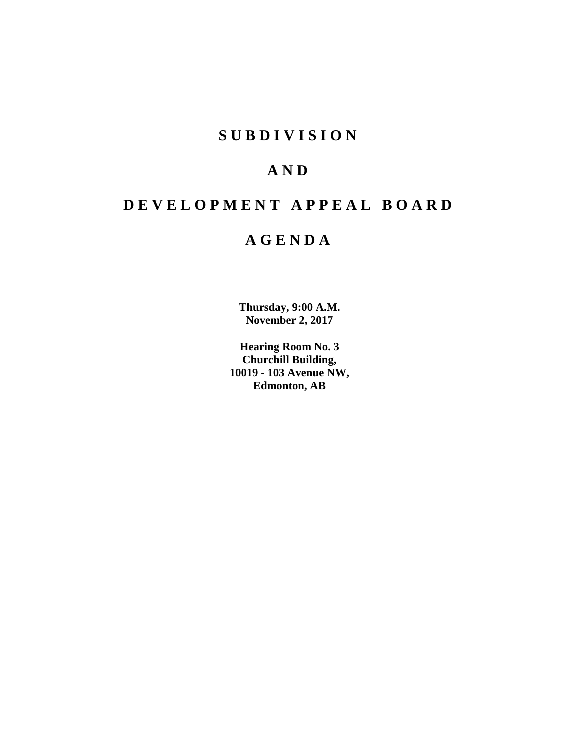# **SUBDIVISION**

# **AND**

# **DEVELOPMENT APPEAL BOARD**

# **AGENDA**

**Thursday, 9:00 A.M. November 2, 2017**

**Hearing Room No. 3 Churchill Building, 10019 - 103 Avenue NW, Edmonton, AB**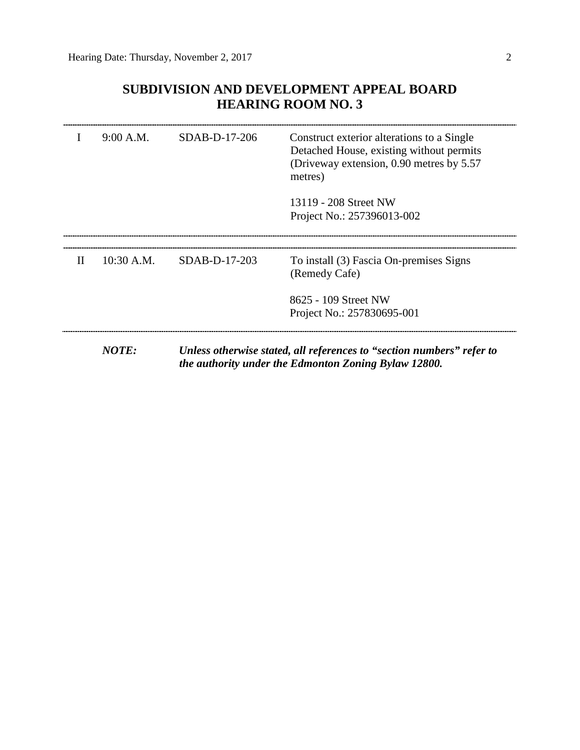# **SUBDIVISION AND DEVELOPMENT APPEAL BOARD HEARING ROOM NO. 3**

|              | 9:00 A.M.    | $SDAB-D-17-206$ | Construct exterior alterations to a Single<br>Detached House, existing without permits<br>(Driveway extension, 0.90 metres by 5.57)<br>metres) |
|--------------|--------------|-----------------|------------------------------------------------------------------------------------------------------------------------------------------------|
|              |              |                 | 13119 - 208 Street NW<br>Project No.: 257396013-002                                                                                            |
|              |              |                 |                                                                                                                                                |
| $\mathbf{H}$ | $10:30$ A.M. | $SDAB-D-17-203$ | To install (3) Fascia On-premises Signs<br>(Remedy Cafe)                                                                                       |
|              |              |                 | 8625 - 109 Street NW                                                                                                                           |
|              |              |                 | Project No.: 257830695-001                                                                                                                     |

*NOTE: Unless otherwise stated, all references to "section numbers" refer to the authority under the Edmonton Zoning Bylaw 12800.*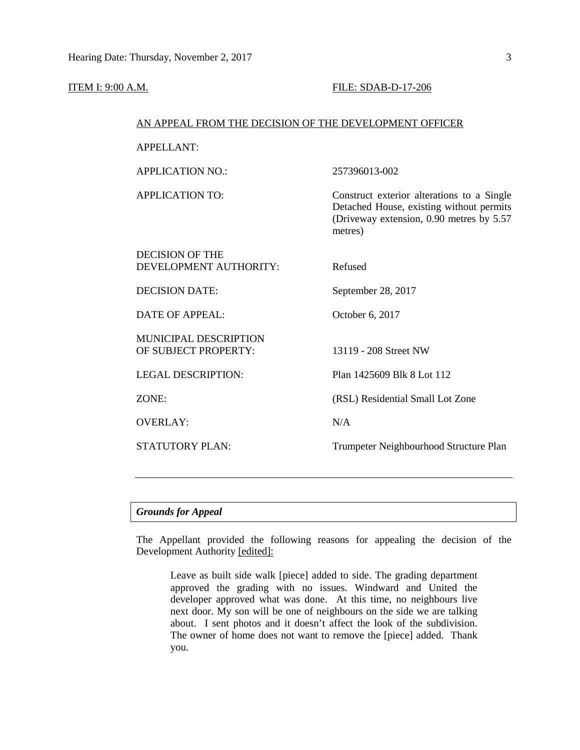### **ITEM I: 9:00 A.M. FILE: SDAB-D-17-206**

### AN APPEAL FROM THE DECISION OF THE DEVELOPMENT OFFICER

APPELLANT:

APPLICATION NO.: 257396013-002

APPLICATION TO: Construct exterior alterations to a Single Detached House, existing without permits (Driveway extension, 0.90 metres by 5.57 metres)

| DECISION OF THE<br>DEVELOPMENT AUTHORITY:            | Refused                                |
|------------------------------------------------------|----------------------------------------|
| DECISION DATE:                                       | September 28, 2017                     |
| DATE OF APPEAL:                                      | October 6, 2017                        |
| <b>MUNICIPAL DESCRIPTION</b><br>OF SUBJECT PROPERTY: | 13119 - 208 Street NW                  |
| <b>LEGAL DESCRIPTION:</b>                            | Plan 1425609 Blk 8 Lot 112             |
| ZONE:                                                | (RSL) Residential Small Lot Zone       |
| <b>OVERLAY:</b>                                      | N/A                                    |
| <b>STATUTORY PLAN:</b>                               | Trumpeter Neighbourhood Structure Plan |
|                                                      |                                        |

# *Grounds for Appeal*

The Appellant provided the following reasons for appealing the decision of the Development Authority [edited]:

Leave as built side walk [piece] added to side. The grading department approved the grading with no issues. Windward and United the developer approved what was done. At this time, no neighbours live next door. My son will be one of neighbours on the side we are talking about. I sent photos and it doesn't affect the look of the subdivision. The owner of home does not want to remove the [piece] added. Thank you.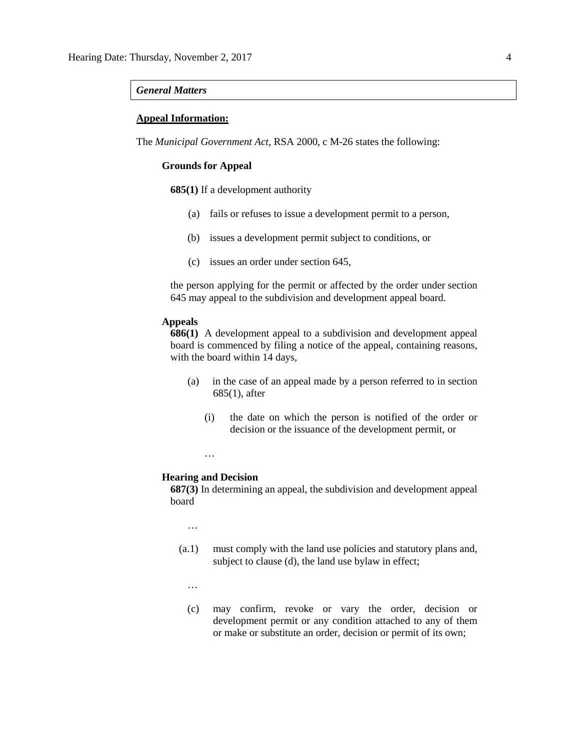### *General Matters*

## **Appeal Information:**

The *Municipal Government Act*, RSA 2000, c M-26 states the following:

# **Grounds for Appeal**

**685(1)** If a development authority

- (a) fails or refuses to issue a development permit to a person,
- (b) issues a development permit subject to conditions, or
- (c) issues an order under section 645,

the person applying for the permit or affected by the order under section 645 may appeal to the subdivision and development appeal board.

### **Appeals**

**686(1)** A development appeal to a subdivision and development appeal board is commenced by filing a notice of the appeal, containing reasons, with the board within 14 days,

- (a) in the case of an appeal made by a person referred to in section 685(1), after
	- (i) the date on which the person is notified of the order or decision or the issuance of the development permit, or
	- …

### **Hearing and Decision**

**687(3)** In determining an appeal, the subdivision and development appeal board

…

- (a.1) must comply with the land use policies and statutory plans and, subject to clause (d), the land use bylaw in effect;
	- …
	- (c) may confirm, revoke or vary the order, decision or development permit or any condition attached to any of them or make or substitute an order, decision or permit of its own;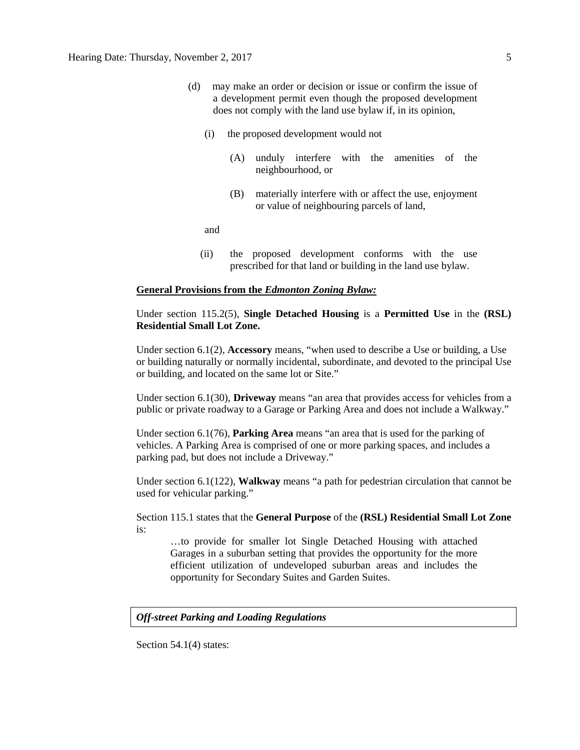- (d) may make an order or decision or issue or confirm the issue of a development permit even though the proposed development does not comply with the land use bylaw if, in its opinion,
	- (i) the proposed development would not
		- (A) unduly interfere with the amenities of the neighbourhood, or
		- (B) materially interfere with or affect the use, enjoyment or value of neighbouring parcels of land,

and

(ii) the proposed development conforms with the use prescribed for that land or building in the land use bylaw.

### **General Provisions from the** *Edmonton Zoning Bylaw:*

# Under section 115.2(5), **Single Detached Housing** is a **Permitted Use** in the **(RSL) Residential Small Lot Zone.**

Under section 6.1(2), **Accessory** means, "when used to describe a Use or building, a Use or building naturally or normally incidental, subordinate, and devoted to the principal Use or building, and located on the same lot or Site."

Under section 6.1(30), **Driveway** means "an area that provides access for vehicles from a public or private roadway to a Garage or Parking Area and does not include a Walkway."

Under section 6.1(76), **Parking Area** means "an area that is used for the parking of vehicles. A Parking Area is comprised of one or more parking spaces, and includes a parking pad, but does not include a Driveway."

Under section 6.1(122), **Walkway** means "a path for pedestrian circulation that cannot be used for vehicular parking."

Section 115.1 states that the **General Purpose** of the **(RSL) Residential Small Lot Zone**  is:

…to provide for smaller lot Single Detached Housing with attached Garages in a suburban setting that provides the opportunity for the more efficient utilization of undeveloped suburban areas and includes the opportunity for Secondary Suites and Garden Suites.

## *Off-street Parking and Loading Regulations*

Section 54.1(4) states: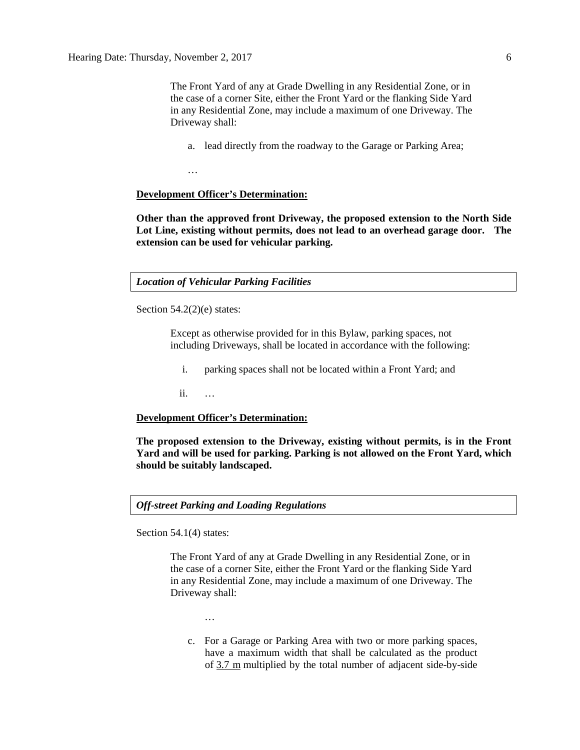The Front Yard of any at Grade Dwelling in any Residential Zone, or in the case of a corner Site, either the Front Yard or the flanking Side Yard in any Residential Zone, may include a maximum of one Driveway. The Driveway shall:

a. lead directly from the roadway to the Garage or Parking Area;

…

## **Development Officer's Determination:**

**Other than the approved front Driveway, the proposed extension to the North Side Lot Line, existing without permits, does not lead to an overhead garage door. The extension can be used for vehicular parking.**

*Location of Vehicular Parking Facilities*

Section  $54.2(2)(e)$  states:

Except as otherwise provided for in this Bylaw, parking spaces, not including Driveways, shall be located in accordance with the following:

i. parking spaces shall not be located within a Front Yard; and

ii. …

### **Development Officer's Determination:**

**The proposed extension to the Driveway, existing without permits, is in the Front Yard and will be used for parking. Parking is not allowed on the Front Yard, which should be suitably landscaped.**

*Off-street Parking and Loading Regulations*

Section 54.1(4) states:

The Front Yard of any at Grade Dwelling in any Residential Zone, or in the case of a corner Site, either the Front Yard or the flanking Side Yard in any Residential Zone, may include a maximum of one Driveway. The Driveway shall:

…

c. For a Garage or Parking Area with two or more parking spaces, have a maximum width that shall be calculated as the product of [3.7 m](javascript:void(0);) multiplied by the total number of adjacent side-by-side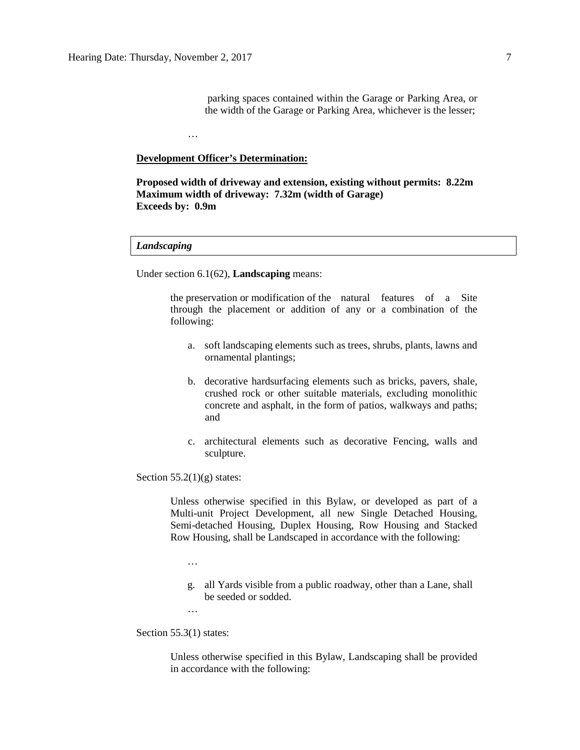### **Development Officer's Determination:**

…

**Proposed width of driveway and extension, existing without permits: 8.22m Maximum width of driveway: 7.32m (width of Garage) Exceeds by: 0.9m**

### *Landscaping*

Under section 6.1(62), **Landscaping** means:

the preservation or modification of the natural features of a Site through the placement or addition of any or a combination of the following:

- a. soft landscaping elements such as trees, shrubs, plants, lawns and ornamental plantings;
- b. decorative hardsurfacing elements such as bricks, pavers, shale, crushed rock or other suitable materials, excluding monolithic concrete and asphalt, in the form of patios, walkways and paths; and
- c. architectural elements such as decorative Fencing, walls and sculpture.

### Section  $55.2(1)(g)$  states:

Unless otherwise specified in this Bylaw, or developed as part of a Multi-unit Project Development, all new Single Detached Housing, Semi-detached Housing, Duplex Housing, Row Housing and Stacked Row Housing, shall be Landscaped in accordance with the following:

- …
- g. all Yards visible from a public roadway, other than a Lane, shall be seeded or sodded.

…

Section 55.3(1) states:

Unless otherwise specified in this Bylaw, Landscaping shall be provided in accordance with the following: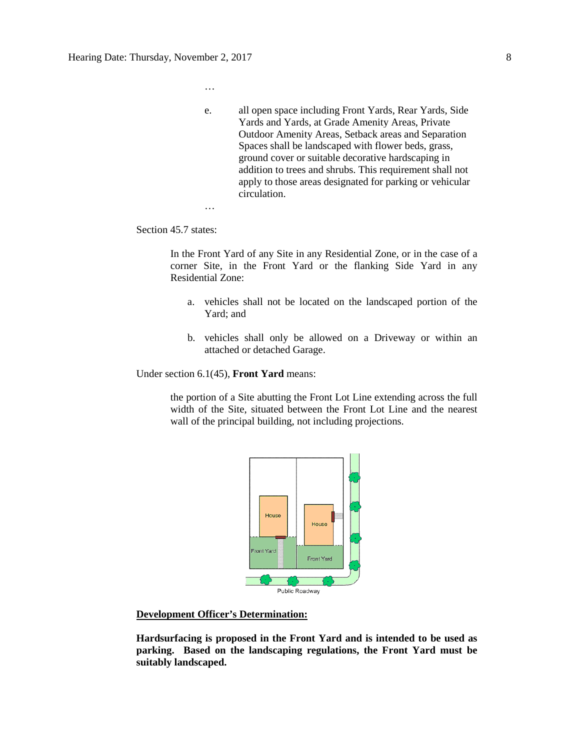- …
- e. all open space including Front Yards, Rear Yards, Side Yards and Yards, at Grade Amenity Areas, Private Outdoor Amenity Areas, Setback areas and Separation Spaces shall be landscaped with flower beds, grass, ground cover or suitable decorative hardscaping in addition to trees and shrubs. This requirement shall not apply to those areas designated for parking or vehicular circulation.

…

Section 45.7 states:

In the Front Yard of any Site in any Residential Zone, or in the case of a corner Site, in the Front Yard or the flanking Side Yard in any Residential Zone:

- a. vehicles shall not be located on the landscaped portion of the Yard; and
- b. vehicles shall only be allowed on a Driveway or within an attached or detached Garage.

Under section 6.1(45), **Front Yard** means:

the portion of a Site abutting the Front Lot Line extending across the full width of the Site, situated between the Front Lot Line and the nearest wall of the principal building, not including projections.



# **Development Officer's Determination:**

**Hardsurfacing is proposed in the Front Yard and is intended to be used as parking. Based on the landscaping regulations, the Front Yard must be suitably landscaped.**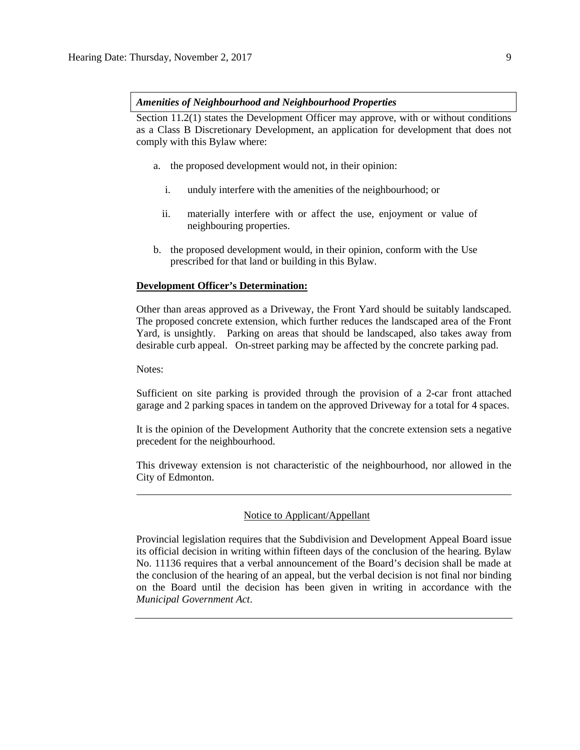### *Amenities of Neighbourhood and Neighbourhood Properties*

Section 11.2(1) states the Development Officer may approve, with or without conditions as a Class B Discretionary Development, an application for development that does not comply with this Bylaw where:

- a. the proposed development would not, in their opinion:
	- i. unduly interfere with the amenities of the neighbourhood; or
	- ii. materially interfere with or affect the use, enjoyment or value of neighbouring properties.
- b. the proposed development would, in their opinion, conform with the Use prescribed for that land or building in this Bylaw.

## **Development Officer's Determination:**

Other than areas approved as a Driveway, the Front Yard should be suitably landscaped. The proposed concrete extension, which further reduces the landscaped area of the Front Yard, is unsightly. Parking on areas that should be landscaped, also takes away from desirable curb appeal. On-street parking may be affected by the concrete parking pad.

Notes:

Sufficient on site parking is provided through the provision of a 2-car front attached garage and 2 parking spaces in tandem on the approved Driveway for a total for 4 spaces.

It is the opinion of the Development Authority that the concrete extension sets a negative precedent for the neighbourhood.

This driveway extension is not characteristic of the neighbourhood, nor allowed in the City of Edmonton.

# Notice to Applicant/Appellant

Provincial legislation requires that the Subdivision and Development Appeal Board issue its official decision in writing within fifteen days of the conclusion of the hearing. Bylaw No. 11136 requires that a verbal announcement of the Board's decision shall be made at the conclusion of the hearing of an appeal, but the verbal decision is not final nor binding on the Board until the decision has been given in writing in accordance with the *Municipal Government Act*.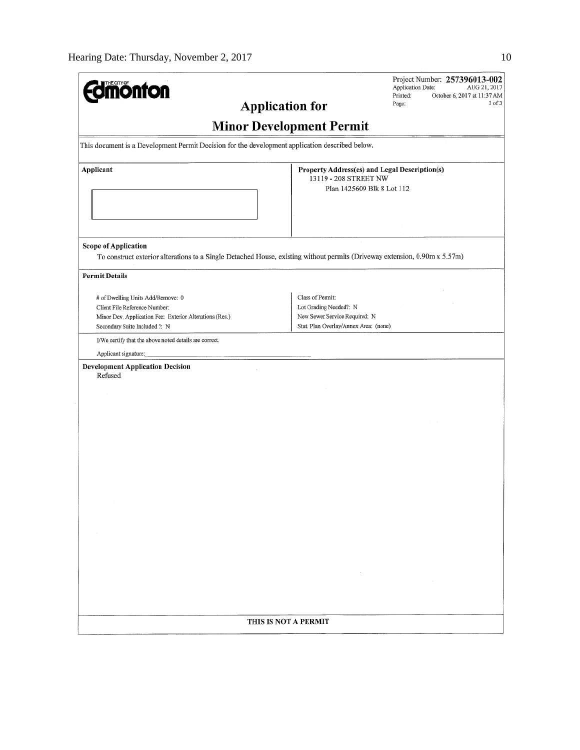| 'HE CITY QI<br><b>monton</b>                                                                                                                                   | Project Number: 257396013-002<br><b>Application Date:</b><br>AUG 21, 2017<br>Printed:<br>October 6, 2017 at 11:37 AM<br>1 of 3<br>Page: |
|----------------------------------------------------------------------------------------------------------------------------------------------------------------|-----------------------------------------------------------------------------------------------------------------------------------------|
| <b>Application for</b>                                                                                                                                         |                                                                                                                                         |
|                                                                                                                                                                | <b>Minor Development Permit</b>                                                                                                         |
| This document is a Development Permit Decision for the development application described below.                                                                |                                                                                                                                         |
| Applicant                                                                                                                                                      | Property Address(es) and Legal Description(s)<br>13119 - 208 STREET NW<br>Plan 1425609 Blk 8 Lot 112                                    |
| <b>Scope of Application</b><br>To construct exterior alterations to a Single Detached House, existing without permits (Driveway extension, 0.90m x 5.57m)      |                                                                                                                                         |
| <b>Permit Details</b>                                                                                                                                          |                                                                                                                                         |
| # of Dwelling Units Add/Remove: 0<br>Client File Reference Number:<br>Minor Dev. Application Fee: Exterior Alterations (Res.)<br>Secondary Suite Included ?: N | Class of Permit:<br>Lot Grading Needed?: N<br>New Sewer Service Required: N<br>Stat. Plan Overlay/Annex Area: (none)                    |
| I/We certify that the above noted details are correct.                                                                                                         |                                                                                                                                         |
| Applicant signature:                                                                                                                                           |                                                                                                                                         |
| <b>Development Application Decision</b><br>Refused                                                                                                             |                                                                                                                                         |
|                                                                                                                                                                |                                                                                                                                         |
|                                                                                                                                                                |                                                                                                                                         |
|                                                                                                                                                                |                                                                                                                                         |
|                                                                                                                                                                |                                                                                                                                         |
|                                                                                                                                                                |                                                                                                                                         |
|                                                                                                                                                                | THIS IS NOT A PERMIT                                                                                                                    |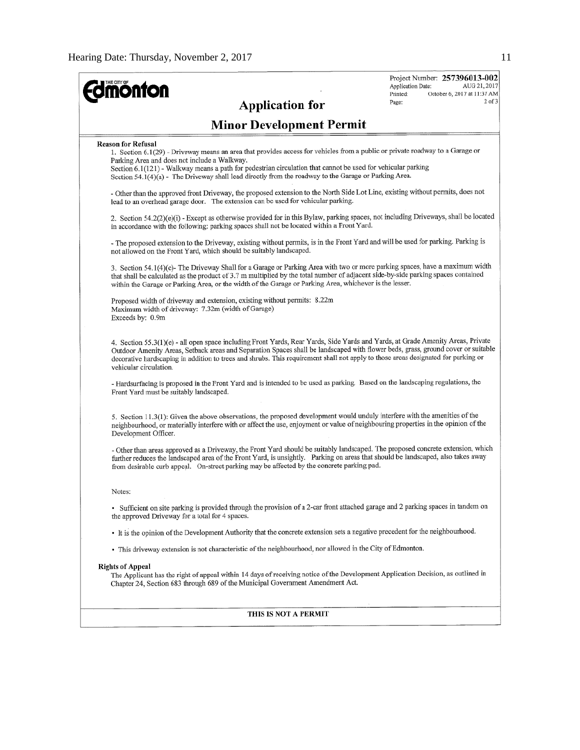| <b>mönton</b><br><b>Application for</b>                                                                                                                                                                                                                                                                                                                                                                                             | Project Number: 257396013-002<br>Application Date:<br>AUG 21, 2017<br>Printed:<br>October 6, 2017 at 11:37 AM<br>$2$ of $3$<br>Page: |
|-------------------------------------------------------------------------------------------------------------------------------------------------------------------------------------------------------------------------------------------------------------------------------------------------------------------------------------------------------------------------------------------------------------------------------------|--------------------------------------------------------------------------------------------------------------------------------------|
| <b>Minor Development Permit</b>                                                                                                                                                                                                                                                                                                                                                                                                     |                                                                                                                                      |
| <b>Reason for Refusal</b><br>1. Section 6.1(29) - Driveway means an area that provides access for vehicles from a public or private roadway to a Garage or<br>Parking Area and does not include a Walkway.<br>Section 6.1(121) - Walkway means a path for pedestrian circulation that cannot be used for vehicular parking<br>Section 54.1(4)(a) - The Driveway shall lead directly from the roadway to the Garage or Parking Area. |                                                                                                                                      |
| - Other than the approved front Driveway, the proposed extension to the North Side Lot Line, existing without permits, does not<br>lead to an overhead garage door. The extension can be used for vehicular parking.                                                                                                                                                                                                                |                                                                                                                                      |
| 2. Section 54.2(2)(e)(i) - Except as otherwise provided for in this Bylaw, parking spaces, not including Driveways, shall be located<br>in accordance with the following: parking spaces shall not be located within a Front Yard.                                                                                                                                                                                                  |                                                                                                                                      |
| - The proposed extension to the Driveway, existing without permits, is in the Front Yard and will be used for parking. Parking is<br>not allowed on the Front Yard, which should be suitably landscaped.                                                                                                                                                                                                                            |                                                                                                                                      |
| 3. Section 54.1(4)(c)- The Driveway Shall for a Garage or Parking Area with two or more parking spaces, have a maximum width<br>that shall be calculated as the product of 3.7 m multiplied by the total number of adjacent side-by-side parking spaces contained<br>within the Garage or Parking Area, or the width of the Garage or Parking Area, whichever is the lesser.                                                        |                                                                                                                                      |
| Proposed width of driveway and extension, existing without permits: 8.22m<br>Maximum width of driveway: 7.32m (width of Garage)<br>Exceeds by: 0.9m                                                                                                                                                                                                                                                                                 |                                                                                                                                      |
| 4. Section 55.3(1)(e) - all open space including Front Yards, Rear Yards, Side Yards and Yards, at Grade Amenity Areas, Private<br>Outdoor Amenity Areas, Setback areas and Separation Spaces shall be landscaped with flower beds, grass, ground cover or suitable<br>decorative hardscaping in addition to trees and shrubs. This requirement shall not apply to those areas designated for parking or<br>vehicular circulation.  |                                                                                                                                      |
| - Hardsurfacing is proposed in the Front Yard and is intended to be used as parking. Based on the landscaping regulations, the<br>Front Yard must be suitably landscaped.                                                                                                                                                                                                                                                           |                                                                                                                                      |
| 5. Section 11.3(1): Given the above observations, the proposed development would unduly interfere with the amenities of the<br>neighbourhood, or materially interfere with or affect the use, enjoyment or value of neighbouring properties in the opinion of the<br>Development Officer.                                                                                                                                           |                                                                                                                                      |
| - Other than areas approved as a Driveway, the Front Yard should be suitably landscaped. The proposed concrete extension, which<br>further reduces the landscaped area of the Front Yard, is unsightly. Parking on areas that should be landscaped, also takes away<br>from desirable curb appeal. On-street parking may be affected by the concrete parking pad.                                                                   |                                                                                                                                      |
| Notes:                                                                                                                                                                                                                                                                                                                                                                                                                              |                                                                                                                                      |
| · Sufficient on site parking is provided through the provision of a 2-car front attached garage and 2 parking spaces in tandem on<br>the approved Driveway for a total for 4 spaces.                                                                                                                                                                                                                                                |                                                                                                                                      |
| • It is the opinion of the Development Authority that the concrete extension sets a negative precedent for the neighbourhood.                                                                                                                                                                                                                                                                                                       |                                                                                                                                      |
| • This driveway extension is not characteristic of the neighbourhood, nor allowed in the City of Edmonton.                                                                                                                                                                                                                                                                                                                          |                                                                                                                                      |
| <b>Rights of Appeal</b><br>The Applicant has the right of appeal within 14 days of receiving notice of the Development Application Decision, as outlined in<br>Chapter 24, Section 683 through 689 of the Municipal Government Amendment Act.                                                                                                                                                                                       |                                                                                                                                      |
| THIS IS NOT A PERMIT                                                                                                                                                                                                                                                                                                                                                                                                                |                                                                                                                                      |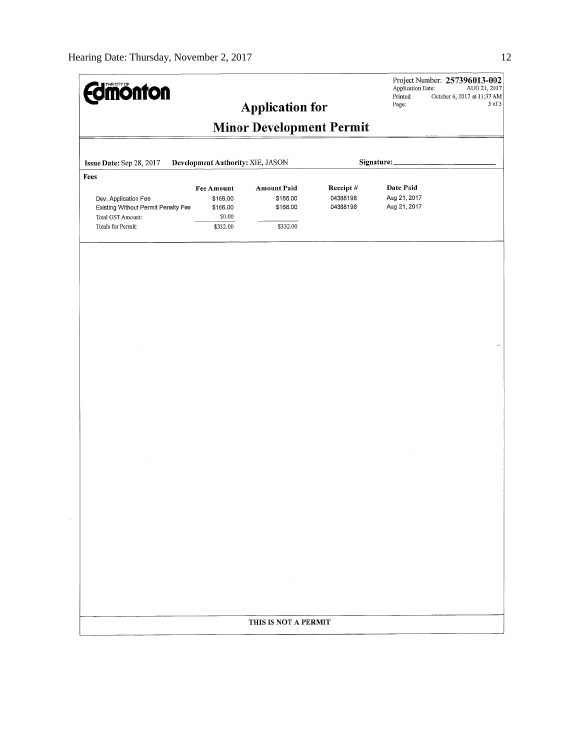| <b>Edmonton</b>                                                                          |                                              | <b>Application for</b>                     |                                  | Application Date:<br>Printed:<br>Page:    | Project Number: 257396013-002<br>AUG 21, 2017<br>October 6, 2017 at 11:37 AM<br>3 of 3 |
|------------------------------------------------------------------------------------------|----------------------------------------------|--------------------------------------------|----------------------------------|-------------------------------------------|----------------------------------------------------------------------------------------|
|                                                                                          |                                              | <b>Minor Development Permit</b>            |                                  |                                           |                                                                                        |
| Issue Date: Sep 28, 2017                                                                 | Development Authority: XIE, JASON            |                                            | Signature:                       |                                           |                                                                                        |
| Fees<br>Dev. Application Fee<br>Existing Without Permit Penalty Fee<br>Total GST Amount: | Fee Amount<br>\$166.00<br>\$166.00<br>\$0.00 | <b>Amount Paid</b><br>\$166.00<br>\$166.00 | Receipt#<br>04388198<br>04388198 | Date Paid<br>Aug 21, 2017<br>Aug 21, 2017 |                                                                                        |
| Totals for Permit:                                                                       | \$332.00                                     | \$332.00                                   |                                  |                                           |                                                                                        |
|                                                                                          |                                              |                                            |                                  |                                           |                                                                                        |
|                                                                                          |                                              |                                            |                                  |                                           |                                                                                        |
|                                                                                          |                                              |                                            |                                  |                                           |                                                                                        |
|                                                                                          |                                              |                                            |                                  |                                           |                                                                                        |
|                                                                                          |                                              |                                            |                                  |                                           |                                                                                        |
|                                                                                          |                                              |                                            |                                  |                                           |                                                                                        |
|                                                                                          |                                              |                                            |                                  |                                           |                                                                                        |
|                                                                                          |                                              |                                            |                                  |                                           |                                                                                        |
|                                                                                          |                                              |                                            |                                  |                                           |                                                                                        |
|                                                                                          |                                              |                                            |                                  |                                           |                                                                                        |
|                                                                                          |                                              |                                            |                                  |                                           |                                                                                        |
|                                                                                          |                                              |                                            |                                  |                                           |                                                                                        |
|                                                                                          |                                              |                                            |                                  |                                           |                                                                                        |
|                                                                                          |                                              |                                            |                                  |                                           | $\sim$                                                                                 |
|                                                                                          |                                              |                                            |                                  |                                           |                                                                                        |
|                                                                                          |                                              | $\sim$<br>$\sim$                           |                                  |                                           |                                                                                        |
|                                                                                          |                                              |                                            |                                  |                                           |                                                                                        |
|                                                                                          |                                              | THIS IS NOT A PERMIT                       |                                  |                                           |                                                                                        |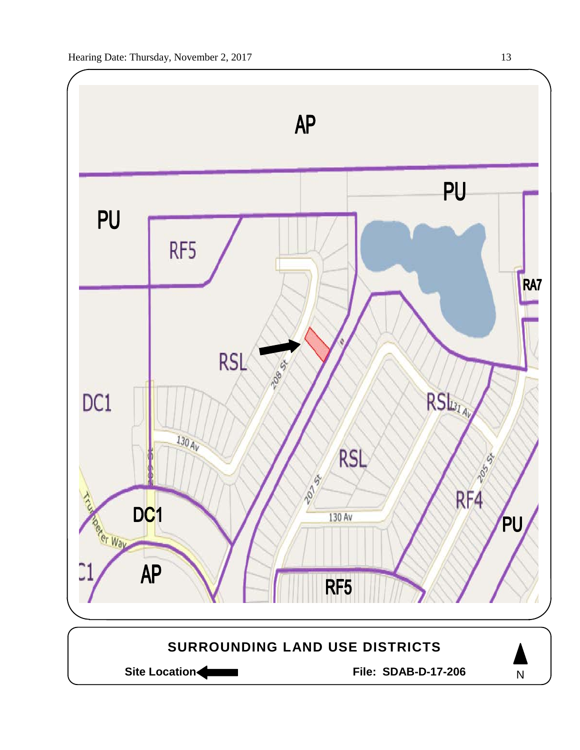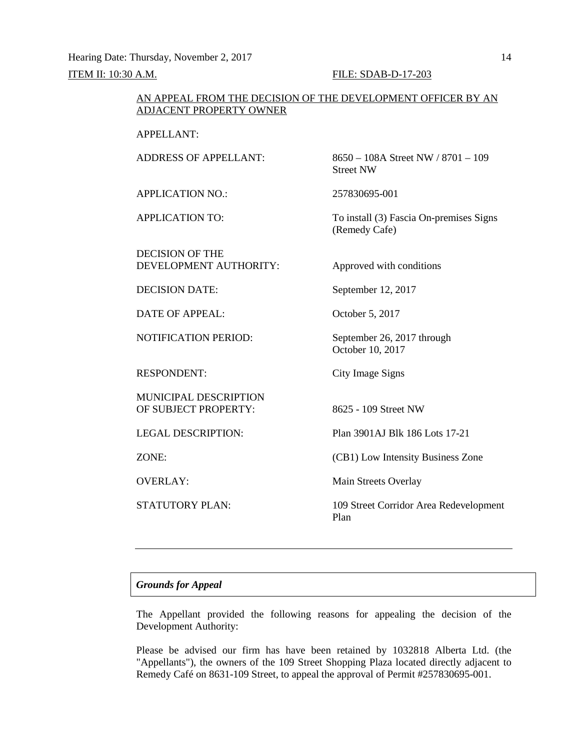Hearing Date: Thursday, November 2, 2017 14

# **ITEM II: 10:30 A.M. FILE: SDAB-D-17-203**

# AN APPEAL FROM THE DECISION OF THE DEVELOPMENT OFFICER BY AN ADJACENT PROPERTY OWNER

# APPELLANT:

ADDRESS OF APPELLANT: 8650 – 108A Street NW / 8701 – 109 Street NW APPLICATION NO.: 257830695-001 APPLICATION TO: To install (3) Fascia On-premises Signs (Remedy Cafe) DECISION OF THE DEVELOPMENT AUTHORITY: Approved with conditions DECISION DATE: September 12, 2017 DATE OF APPEAL: October 5, 2017 NOTIFICATION PERIOD: September 26, 2017 through October 10, 2017 RESPONDENT: City Image Signs MUNICIPAL DESCRIPTION OF SUBJECT PROPERTY: 8625 - 109 Street NW LEGAL DESCRIPTION: Plan 3901AJ Blk 186 Lots 17-21 ZONE: (CB1) Low Intensity Business Zone OVERLAY: Main Streets Overlay STATUTORY PLAN: 109 Street Corridor Area Redevelopment Plan

# *Grounds for Appeal*

The Appellant provided the following reasons for appealing the decision of the Development Authority:

Please be advised our firm has have been retained by 1032818 Alberta Ltd. (the "Appellants"), the owners of the 109 Street Shopping Plaza located directly adjacent to Remedy Café on 8631-109 Street, to appeal the approval of Permit #257830695-001.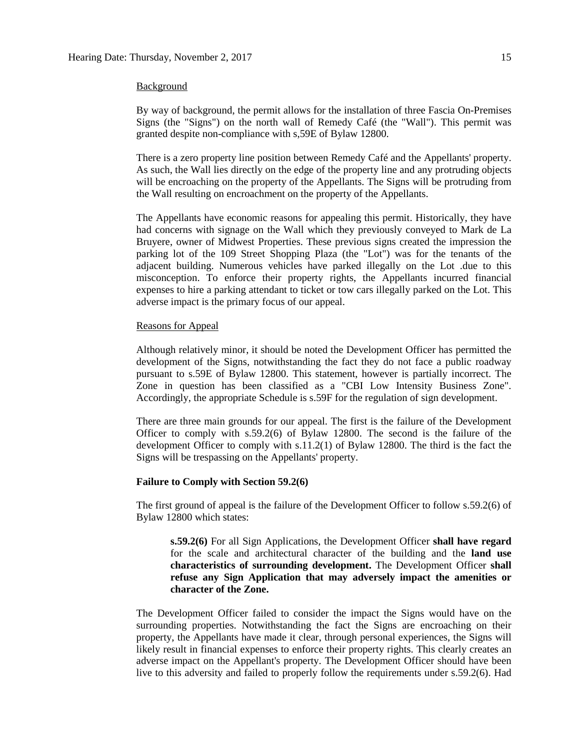### Background

By way of background, the permit allows for the installation of three Fascia On-Premises Signs (the "Signs") on the north wall of Remedy Café (the "Wall"). This permit was granted despite non-compliance with s,59E of Bylaw 12800.

There is a zero property line position between Remedy Café and the Appellants' property. As such, the Wall lies directly on the edge of the property line and any protruding objects will be encroaching on the property of the Appellants. The Signs will be protruding from the Wall resulting on encroachment on the property of the Appellants.

The Appellants have economic reasons for appealing this permit. Historically, they have had concerns with signage on the Wall which they previously conveyed to Mark de La Bruyere, owner of Midwest Properties. These previous signs created the impression the parking lot of the 109 Street Shopping Plaza (the "Lot") was for the tenants of the adjacent building. Numerous vehicles have parked illegally on the Lot .due to this misconception. To enforce their property rights, the Appellants incurred financial expenses to hire a parking attendant to ticket or tow cars illegally parked on the Lot. This adverse impact is the primary focus of our appeal.

### Reasons for Appeal

Although relatively minor, it should be noted the Development Officer has permitted the development of the Signs, notwithstanding the fact they do not face a public roadway pursuant to s.59E of Bylaw 12800. This statement, however is partially incorrect. The Zone in question has been classified as a "CBI Low Intensity Business Zone". Accordingly, the appropriate Schedule is s.59F for the regulation of sign development.

There are three main grounds for our appeal. The first is the failure of the Development Officer to comply with s.59.2(6) of Bylaw 12800. The second is the failure of the development Officer to comply with s.11.2(1) of Bylaw 12800. The third is the fact the Signs will be trespassing on the Appellants' property.

# **Failure to Comply with Section 59.2(6)**

The first ground of appeal is the failure of the Development Officer to follow s.59.2(6) of Bylaw 12800 which states:

**s.59.2(6)** For all Sign Applications, the Development Officer **shall have regard**  for the scale and architectural character of the building and the **land use characteristics of surrounding development.** The Development Officer **shall refuse any Sign Application that may adversely impact the amenities or character of the Zone.**

The Development Officer failed to consider the impact the Signs would have on the surrounding properties. Notwithstanding the fact the Signs are encroaching on their property, the Appellants have made it clear, through personal experiences, the Signs will likely result in financial expenses to enforce their property rights. This clearly creates an adverse impact on the Appellant's property. The Development Officer should have been live to this adversity and failed to properly follow the requirements under s.59.2(6). Had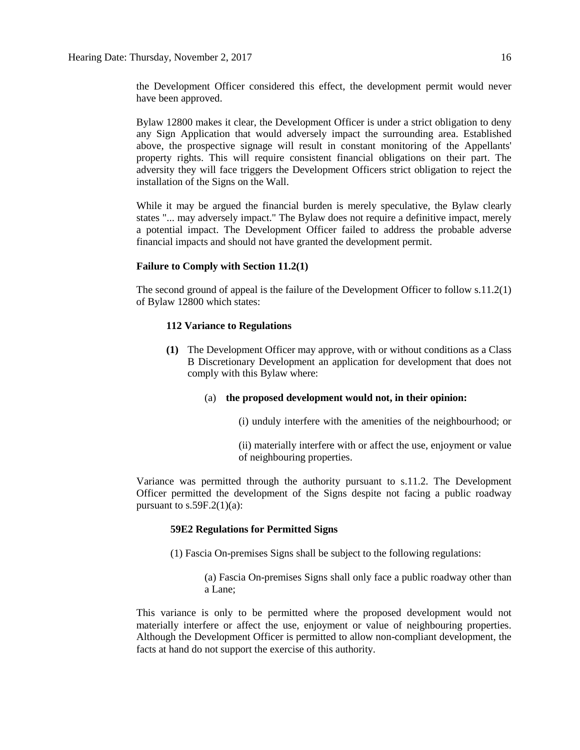the Development Officer considered this effect, the development permit would never have been approved.

Bylaw 12800 makes it clear, the Development Officer is under a strict obligation to deny any Sign Application that would adversely impact the surrounding area. Established above, the prospective signage will result in constant monitoring of the Appellants' property rights. This will require consistent financial obligations on their part. The adversity they will face triggers the Development Officers strict obligation to reject the installation of the Signs on the Wall.

While it may be argued the financial burden is merely speculative, the Bylaw clearly states "... may adversely impact." The Bylaw does not require a definitive impact, merely a potential impact. The Development Officer failed to address the probable adverse financial impacts and should not have granted the development permit.

# **Failure to Comply with Section 11.2(1)**

The second ground of appeal is the failure of the Development Officer to follow s.11.2(1) of Bylaw 12800 which states:

## **112 Variance to Regulations**

- **(1)** The Development Officer may approve, with or without conditions as a Class B Discretionary Development an application for development that does not comply with this Bylaw where:
	- (a) **the proposed development would not, in their opinion:**
		- (i) unduly interfere with the amenities of the neighbourhood; or
		- (ii) materially interfere with or affect the use, enjoyment or value of neighbouring properties.

Variance was permitted through the authority pursuant to s.11.2. The Development Officer permitted the development of the Signs despite not facing a public roadway pursuant to  $s.59F.2(1)(a)$ :

# **59E2 Regulations for Permitted Signs**

(1) Fascia On-premises Signs shall be subject to the following regulations:

(a) Fascia On-premises Signs shall only face a public roadway other than a Lane;

This variance is only to be permitted where the proposed development would not materially interfere or affect the use, enjoyment or value of neighbouring properties. Although the Development Officer is permitted to allow non-compliant development, the facts at hand do not support the exercise of this authority.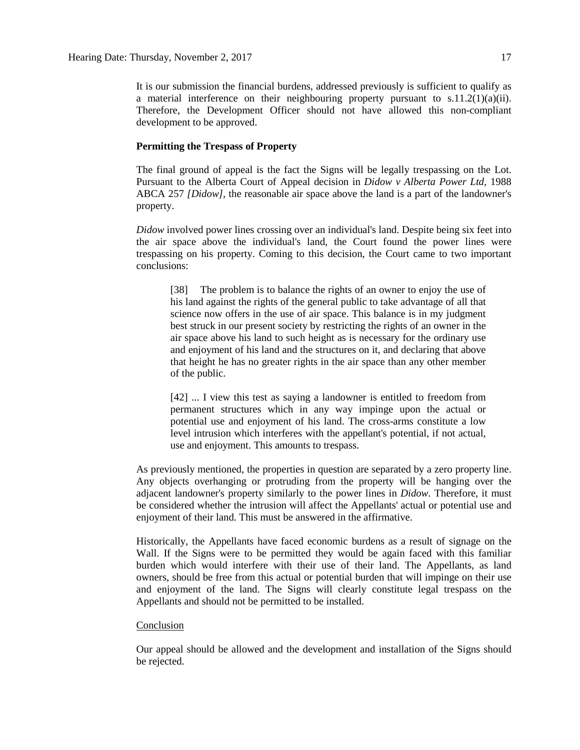It is our submission the financial burdens, addressed previously is sufficient to qualify as a material interference on their neighbouring property pursuant to  $s.11.2(1)(a)(ii)$ . Therefore, the Development Officer should not have allowed this non-compliant development to be approved.

### **Permitting the Trespass of Property**

The final ground of appeal is the fact the Signs will be legally trespassing on the Lot. Pursuant to the Alberta Court of Appeal decision in *Didow v Alberta Power Ltd,* 1988 ABCA 257 *[Didow],* the reasonable air space above the land is a part of the landowner's property.

*Didow* involved power lines crossing over an individual's land. Despite being six feet into the air space above the individual's land, the Court found the power lines were trespassing on his property. Coming to this decision, the Court came to two important conclusions:

[38] The problem is to balance the rights of an owner to enjoy the use of his land against the rights of the general public to take advantage of all that science now offers in the use of air space. This balance is in my judgment best struck in our present society by restricting the rights of an owner in the air space above his land to such height as is necessary for the ordinary use and enjoyment of his land and the structures on it, and declaring that above that height he has no greater rights in the air space than any other member of the public.

[42] ... I view this test as saying a landowner is entitled to freedom from permanent structures which in any way impinge upon the actual or potential use and enjoyment of his land. The cross-arms constitute a low level intrusion which interferes with the appellant's potential, if not actual, use and enjoyment. This amounts to trespass.

As previously mentioned, the properties in question are separated by a zero property line. Any objects overhanging or protruding from the property will be hanging over the adjacent landowner's property similarly to the power lines in *Didow.* Therefore, it must be considered whether the intrusion will affect the Appellants' actual or potential use and enjoyment of their land. This must be answered in the affirmative.

Historically, the Appellants have faced economic burdens as a result of signage on the Wall. If the Signs were to be permitted they would be again faced with this familiar burden which would interfere with their use of their land. The Appellants, as land owners, should be free from this actual or potential burden that will impinge on their use and enjoyment of the land. The Signs will clearly constitute legal trespass on the Appellants and should not be permitted to be installed.

### Conclusion

Our appeal should be allowed and the development and installation of the Signs should be rejected.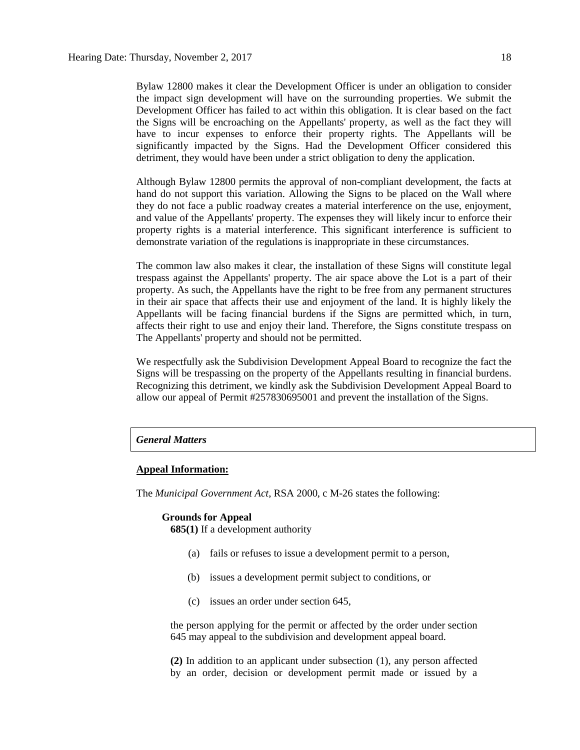Bylaw 12800 makes it clear the Development Officer is under an obligation to consider the impact sign development will have on the surrounding properties. We submit the Development Officer has failed to act within this obligation. It is clear based on the fact the Signs will be encroaching on the Appellants' property, as well as the fact they will have to incur expenses to enforce their property rights. The Appellants will be significantly impacted by the Signs. Had the Development Officer considered this detriment, they would have been under a strict obligation to deny the application.

Although Bylaw 12800 permits the approval of non-compliant development, the facts at hand do not support this variation. Allowing the Signs to be placed on the Wall where they do not face a public roadway creates a material interference on the use, enjoyment, and value of the Appellants' property. The expenses they will likely incur to enforce their property rights is a material interference. This significant interference is sufficient to demonstrate variation of the regulations is inappropriate in these circumstances.

The common law also makes it clear, the installation of these Signs will constitute legal trespass against the Appellants' property. The air space above the Lot is a part of their property. As such, the Appellants have the right to be free from any permanent structures in their air space that affects their use and enjoyment of the land. It is highly likely the Appellants will be facing financial burdens if the Signs are permitted which, in turn, affects their right to use and enjoy their land. Therefore, the Signs constitute trespass on The Appellants' property and should not be permitted.

We respectfully ask the Subdivision Development Appeal Board to recognize the fact the Signs will be trespassing on the property of the Appellants resulting in financial burdens. Recognizing this detriment, we kindly ask the Subdivision Development Appeal Board to allow our appeal of Permit #257830695001 and prevent the installation of the Signs.

# *General Matters*

### **Appeal Information:**

The *Municipal Government Act*, RSA 2000, c M-26 states the following:

### **Grounds for Appeal**

**685(1)** If a development authority

- (a) fails or refuses to issue a development permit to a person,
- (b) issues a development permit subject to conditions, or
- (c) issues an order under section 645,

the person applying for the permit or affected by the order under section 645 may appeal to the subdivision and development appeal board.

**(2)** In addition to an applicant under subsection (1), any person affected by an order, decision or development permit made or issued by a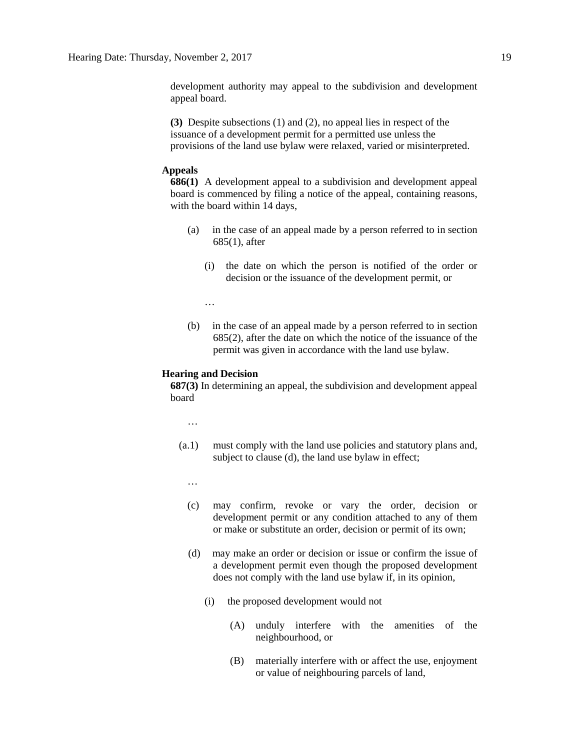development authority may appeal to the subdivision and development appeal board.

**(3)** Despite subsections (1) and (2), no appeal lies in respect of the issuance of a development permit for a permitted use unless the provisions of the land use bylaw were relaxed, varied or misinterpreted.

# **Appeals**

**686(1)** A development appeal to a subdivision and development appeal board is commenced by filing a notice of the appeal, containing reasons, with the board within 14 days,

- (a) in the case of an appeal made by a person referred to in section 685(1), after
	- (i) the date on which the person is notified of the order or decision or the issuance of the development permit, or

…

(b) in the case of an appeal made by a person referred to in section 685(2), after the date on which the notice of the issuance of the permit was given in accordance with the land use bylaw.

### **Hearing and Decision**

**687(3)** In determining an appeal, the subdivision and development appeal board

…

(a.1) must comply with the land use policies and statutory plans and, subject to clause (d), the land use bylaw in effect;

…

- (c) may confirm, revoke or vary the order, decision or development permit or any condition attached to any of them or make or substitute an order, decision or permit of its own;
- (d) may make an order or decision or issue or confirm the issue of a development permit even though the proposed development does not comply with the land use bylaw if, in its opinion,
	- (i) the proposed development would not
		- (A) unduly interfere with the amenities of the neighbourhood, or
		- (B) materially interfere with or affect the use, enjoyment or value of neighbouring parcels of land,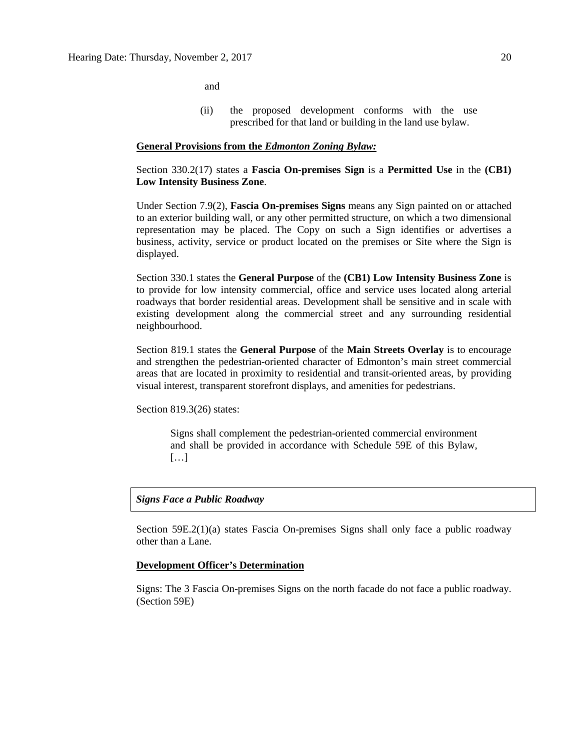and

(ii) the proposed development conforms with the use prescribed for that land or building in the land use bylaw.

### **General Provisions from the** *Edmonton Zoning Bylaw:*

Section 330.2(17) states a **Fascia On-premises Sign** is a **Permitted Use** in the **(CB1) Low Intensity Business Zone**.

Under Section 7.9(2), **Fascia On-premises Signs** means any Sign painted on or attached to an exterior building wall, or any other permitted structure, on which a two dimensional representation may be placed. The Copy on such a Sign identifies or advertises a business, activity, service or product located on the premises or Site where the Sign is displayed.

Section 330.1 states the **General Purpose** of the **(CB1) Low Intensity Business Zone** is to provide for low intensity commercial, office and service uses located along arterial roadways that border residential areas. Development shall be sensitive and in scale with existing development along the commercial street and any surrounding residential neighbourhood.

Section 819.1 states the **General Purpose** of the **Main Streets Overlay** is to encourage and strengthen the pedestrian-oriented character of Edmonton's main street commercial areas that are located in proximity to residential and transit-oriented areas, by providing visual interest, transparent storefront displays, and amenities for pedestrians.

Section 819.3(26) states:

Signs shall complement the pedestrian-oriented commercial environment and shall be provided in accordance with Schedule 59E of this Bylaw, […]

# *Signs Face a Public Roadway*

Section 59E.2(1)(a) states Fascia On-premises Signs shall only face a public roadway other than a Lane.

### **Development Officer's Determination**

Signs: The 3 Fascia On-premises Signs on the north facade do not face a public roadway. (Section 59E)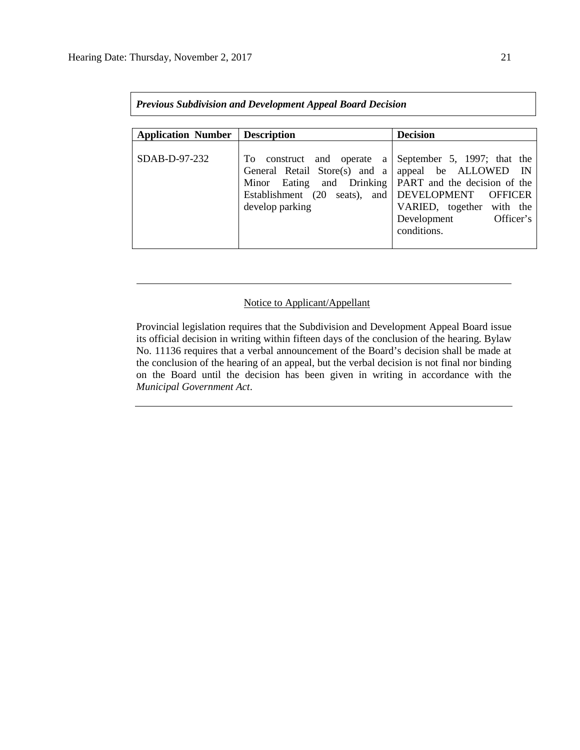| <b>Previous Subdivision and Development Appeal Board Decision</b> |                                                                                                                                                                                   |                                                                                                                                                 |  |  |  |  |  |
|-------------------------------------------------------------------|-----------------------------------------------------------------------------------------------------------------------------------------------------------------------------------|-------------------------------------------------------------------------------------------------------------------------------------------------|--|--|--|--|--|
| <b>Application Number</b>                                         | <b>Description</b>                                                                                                                                                                | <b>Decision</b>                                                                                                                                 |  |  |  |  |  |
| $SDAB-D-97-232$                                                   | To construct<br>and<br>operate a<br>General Retail Store(s) and a<br>Minor Eating and Drinking   PART and the decision of the<br>Establishment (20 seats), and<br>develop parking | September 5, 1997; that the<br>appeal be ALLOWED IN<br>DEVELOPMENT OFFICER<br>VARIED, together with the<br>Development Officer's<br>conditions. |  |  |  |  |  |

# Notice to Applicant/Appellant

Provincial legislation requires that the Subdivision and Development Appeal Board issue its official decision in writing within fifteen days of the conclusion of the hearing. Bylaw No. 11136 requires that a verbal announcement of the Board's decision shall be made at the conclusion of the hearing of an appeal, but the verbal decision is not final nor binding on the Board until the decision has been given in writing in accordance with the *Municipal Government Act*.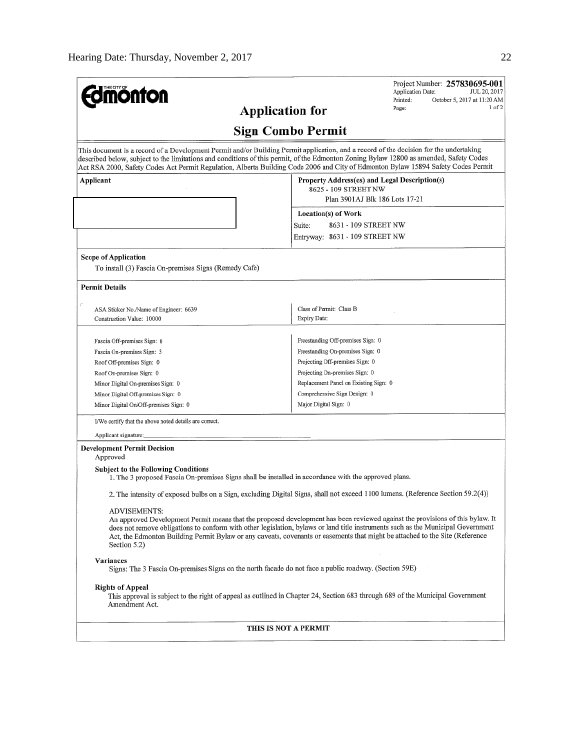| <b>monton</b>                                                                                                                                                                                                                                                                                                                                                                                                                     | Project Number: 257830695-001<br>Application Date:<br>JUL 20, 2017<br>Printed:<br>October 5, 2017 at 11:20 AM<br>1 of 2<br>Page: |  |  |  |  |
|-----------------------------------------------------------------------------------------------------------------------------------------------------------------------------------------------------------------------------------------------------------------------------------------------------------------------------------------------------------------------------------------------------------------------------------|----------------------------------------------------------------------------------------------------------------------------------|--|--|--|--|
| <b>Application for</b>                                                                                                                                                                                                                                                                                                                                                                                                            |                                                                                                                                  |  |  |  |  |
|                                                                                                                                                                                                                                                                                                                                                                                                                                   | <b>Sign Combo Permit</b>                                                                                                         |  |  |  |  |
| This document is a record of a Development Permit and/or Building Permit application, and a record of the decision for the undertaking<br>described below, subject to the limitations and conditions of this permit, of the Edmonton Zoning Bylaw 12800 as amended, Safety Codes<br>Act RSA 2000, Safety Codes Act Permit Regulation, Alberta Building Code 2006 and City of Edmonton Bylaw 15894 Safety Codes Permit             |                                                                                                                                  |  |  |  |  |
| Applicant                                                                                                                                                                                                                                                                                                                                                                                                                         | Property Address(es) and Legal Description(s)<br>8625 - 109 STREET NW<br>Plan 3901AJ Blk 186 Lots 17-21                          |  |  |  |  |
|                                                                                                                                                                                                                                                                                                                                                                                                                                   | Location(s) of Work                                                                                                              |  |  |  |  |
|                                                                                                                                                                                                                                                                                                                                                                                                                                   | Suite:<br>8631 - 109 STREET NW                                                                                                   |  |  |  |  |
|                                                                                                                                                                                                                                                                                                                                                                                                                                   | Entryway: 8631 - 109 STREET NW                                                                                                   |  |  |  |  |
| <b>Scope of Application</b><br>To install (3) Fascia On-premises Signs (Remedy Cafe)                                                                                                                                                                                                                                                                                                                                              |                                                                                                                                  |  |  |  |  |
| <b>Permit Details</b>                                                                                                                                                                                                                                                                                                                                                                                                             |                                                                                                                                  |  |  |  |  |
| ASA Sticker No./Name of Engineer: 6639                                                                                                                                                                                                                                                                                                                                                                                            | Class of Permit: Class B                                                                                                         |  |  |  |  |
| Construction Value: 10000                                                                                                                                                                                                                                                                                                                                                                                                         | Expiry Date:                                                                                                                     |  |  |  |  |
|                                                                                                                                                                                                                                                                                                                                                                                                                                   |                                                                                                                                  |  |  |  |  |
| Fascia Off-premises Sign: 0                                                                                                                                                                                                                                                                                                                                                                                                       | Freestanding Off-premises Sign: 0                                                                                                |  |  |  |  |
| Fascia On-premises Sign: 3                                                                                                                                                                                                                                                                                                                                                                                                        | Freestanding On-premises Sign: 0                                                                                                 |  |  |  |  |
| Roof Off-premises Sign: 0                                                                                                                                                                                                                                                                                                                                                                                                         | Projecting Off-premises Sign: 0                                                                                                  |  |  |  |  |
| Roof On-premises Sign: 0                                                                                                                                                                                                                                                                                                                                                                                                          | Projecting On-premises Sign: 0                                                                                                   |  |  |  |  |
| Minor Digital On-premises Sign: 0                                                                                                                                                                                                                                                                                                                                                                                                 | Replacement Panel on Existing Sign: 0                                                                                            |  |  |  |  |
| Minor Digital Off-premises Sign: 0                                                                                                                                                                                                                                                                                                                                                                                                | Comprehensive Sign Design: 0                                                                                                     |  |  |  |  |
| Minor Digital On/Off-premises Sign: 0                                                                                                                                                                                                                                                                                                                                                                                             | Major Digital Sign: 0                                                                                                            |  |  |  |  |
| I/We certify that the above noted details are correct.                                                                                                                                                                                                                                                                                                                                                                            |                                                                                                                                  |  |  |  |  |
| Applicant signature:                                                                                                                                                                                                                                                                                                                                                                                                              |                                                                                                                                  |  |  |  |  |
| <b>Development Permit Decision</b><br>Approved                                                                                                                                                                                                                                                                                                                                                                                    |                                                                                                                                  |  |  |  |  |
| <b>Subject to the Following Conditions</b><br>1. The 3 proposed Fascia On-premises Signs shall be installed in accordance with the approved plans.                                                                                                                                                                                                                                                                                |                                                                                                                                  |  |  |  |  |
| 2. The intensity of exposed bulbs on a Sign, excluding Digital Signs, shall not exceed 1100 lumens. (Reference Section 59.2(4))                                                                                                                                                                                                                                                                                                   |                                                                                                                                  |  |  |  |  |
| ADVISEMENTS:<br>An approved Development Permit means that the proposed development has been reviewed against the provisions of this bylaw. It<br>does not remove obligations to conform with other legislation, bylaws or land title instruments such as the Municipal Government<br>Act, the Edmonton Building Permit Bylaw or any caveats, covenants or easements that might be attached to the Site (Reference<br>Section 5.2) |                                                                                                                                  |  |  |  |  |
| Variances<br>Signs: The 3 Fascia On-premises Signs on the north facade do not face a public roadway. (Section 59E)                                                                                                                                                                                                                                                                                                                |                                                                                                                                  |  |  |  |  |
| <b>Rights of Appeal</b><br>Amendment Act.                                                                                                                                                                                                                                                                                                                                                                                         | This approval is subject to the right of appeal as outlined in Chapter 24, Section 683 through 689 of the Municipal Government   |  |  |  |  |
| THIS IS NOT A PERMIT                                                                                                                                                                                                                                                                                                                                                                                                              |                                                                                                                                  |  |  |  |  |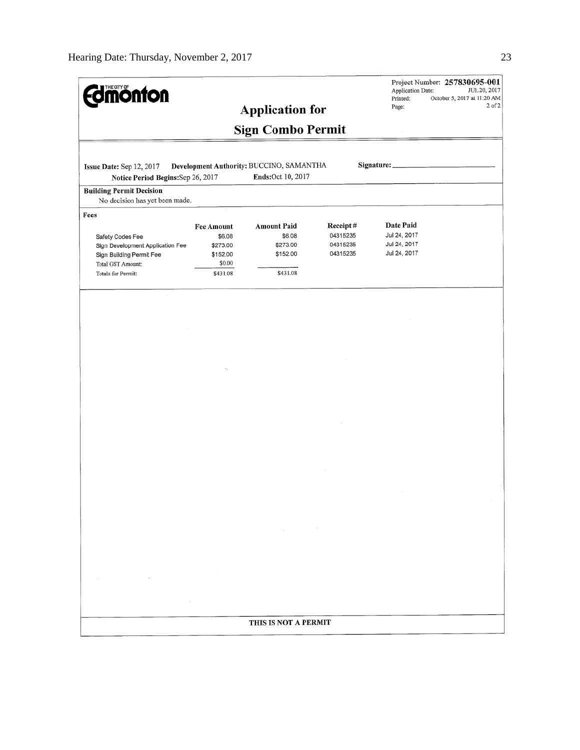| <b>monton</b>                                                                                                                       |                                                                           | <b>Application for</b><br><b>Sign Combo Permit</b>               |                                              | Application Date:<br>Printed:<br>Page:                    | Project Number: 257830695-001<br>JUL 20, 2017<br>October 5, 2017 at 11:20 AM<br>$2$ of $2$ |
|-------------------------------------------------------------------------------------------------------------------------------------|---------------------------------------------------------------------------|------------------------------------------------------------------|----------------------------------------------|-----------------------------------------------------------|--------------------------------------------------------------------------------------------|
| Issue Date: Sep 12, 2017<br>Notice Period Begins: Sep 26, 2017                                                                      |                                                                           | Development Authority: BUCCINO, SAMANTHA<br>Ends:Oct 10, 2017    |                                              | Signature:                                                |                                                                                            |
| <b>Building Permit Decision</b><br>No decision has yet been made.                                                                   |                                                                           |                                                                  |                                              |                                                           |                                                                                            |
| Fees<br>Safety Codes Fee<br>Sign Development Application Fee<br>Sign Building Permit Fee<br>Total GST Amount:<br>Totals for Permit: | <b>Fee Amount</b><br>\$6.08<br>\$273.00<br>\$152.00<br>\$0.00<br>\$431.08 | <b>Amount Paid</b><br>\$6.08<br>\$273.00<br>\$152.00<br>\$431.08 | Receipt#<br>04315235<br>04315235<br>04315235 | Date Paid<br>Jul 24, 2017<br>Jul 24, 2017<br>Jul 24, 2017 |                                                                                            |
|                                                                                                                                     |                                                                           |                                                                  |                                              |                                                           |                                                                                            |
|                                                                                                                                     |                                                                           |                                                                  |                                              |                                                           |                                                                                            |
|                                                                                                                                     |                                                                           |                                                                  |                                              |                                                           |                                                                                            |
|                                                                                                                                     |                                                                           |                                                                  |                                              |                                                           |                                                                                            |
|                                                                                                                                     |                                                                           |                                                                  |                                              |                                                           |                                                                                            |
|                                                                                                                                     |                                                                           |                                                                  |                                              |                                                           |                                                                                            |
|                                                                                                                                     |                                                                           |                                                                  |                                              |                                                           |                                                                                            |
|                                                                                                                                     |                                                                           |                                                                  |                                              |                                                           |                                                                                            |
|                                                                                                                                     |                                                                           |                                                                  |                                              |                                                           |                                                                                            |
|                                                                                                                                     |                                                                           |                                                                  |                                              |                                                           |                                                                                            |
|                                                                                                                                     |                                                                           |                                                                  |                                              |                                                           |                                                                                            |
|                                                                                                                                     |                                                                           |                                                                  |                                              |                                                           |                                                                                            |
|                                                                                                                                     |                                                                           |                                                                  |                                              |                                                           |                                                                                            |
|                                                                                                                                     |                                                                           |                                                                  |                                              |                                                           |                                                                                            |
|                                                                                                                                     |                                                                           | THIS IS NOT A PERMIT                                             |                                              |                                                           |                                                                                            |